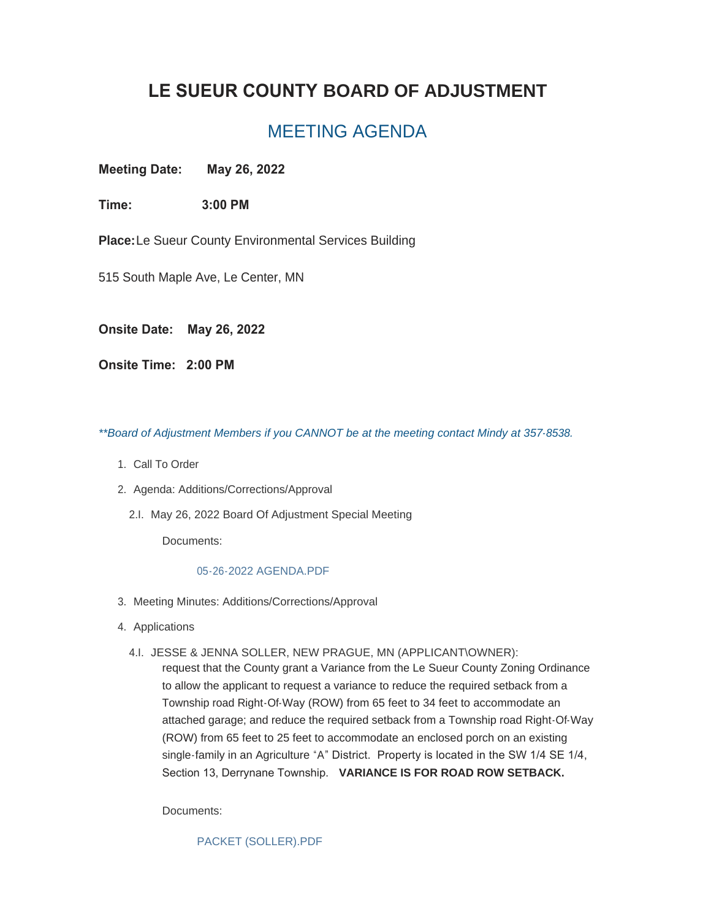## **LE SUEUR COUNTY BOARD OF ADJUSTMENT**

## MEETING AGENDA

**Meeting Date: May 26, 2022**

**Time: 3:00 PM**

**Place:**Le Sueur County Environmental Services Building

515 South Maple Ave, Le Center, MN

**Onsite Date: May 26, 2022**

**Onsite Time: 2:00 PM**

*\*\*Board of Adjustment Members if you CANNOT be at the meeting contact Mindy at 357-8538.*

- 1. Call To Order
- 2. Agenda: Additions/Corrections/Approval
	- 2.I. May 26, 2022 Board Of Adjustment Special Meeting

Documents:

## [05-26-2022 AGENDA.PDF](https://www.co.le-sueur.mn.us/AgendaCenter/ViewFile/Item/3816?fileID=4344)

- 3. Meeting Minutes: Additions/Corrections/Approval
- 4. Applications
	- JESSE & JENNA SOLLER, NEW PRAGUE, MN (APPLICANT\OWNER): 4.I.

request that the County grant a Variance from the Le Sueur County Zoning Ordinance to allow the applicant to request a variance to reduce the required setback from a Township road Right-Of-Way (ROW) from 65 feet to 34 feet to accommodate an attached garage; and reduce the required setback from a Township road Right-Of-Way (ROW) from 65 feet to 25 feet to accommodate an enclosed porch on an existing single-family in an Agriculture "A" District. Property is located in the SW 1/4 SE 1/4, Section 13, Derrynane Township. **VARIANCE IS FOR ROAD ROW SETBACK.**

Documents:

[PACKET \(SOLLER\).PDF](https://www.co.le-sueur.mn.us/AgendaCenter/ViewFile/Item/3814?fileID=4343)